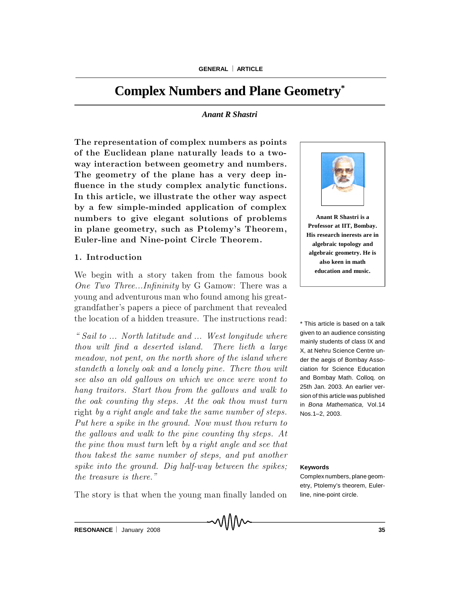# **Complex Numbers and Plane Geometry\***

#### *Anant R Shastri*

The representation of complex numbers as points of the Euclidean plane naturally leads to a twoway interaction between geometry and numbers. The geometry of the plane has a very deep influence in the study complex analytic functions. In this article, we illustrate the other way aspect by a few simple-minded application of complex numbers to give elegant solutions of problems in plane geometry, such as Ptolemy's Theorem, Euler-line and Nine-point Circle Theorem.

### 1. Introduction

We begin with a story taken from the famous book One Two Three...Infinity by G Gamow: There was a young and adventurous man who found among his greatgrand father's papers a piece of parchment that revealed the location of a hidden treasure. The instructions read:

 $\degree$  Sail to  $\ldots$  North latitude and  $\ldots$  West longitude where  $thou$  wilt find a deserted island. There lieth a large meadow, not pent, on the north shore of the island where standeth a lonely oak and a lonely pine. There thou wilt see also an old gallows on which we once were wont to hang traitors. Start thou from the gallows and walk to the oak counting thy steps. At the oak thou must turn right by a right angle and take the same number of steps. Put here a spike in the ground. Now must thou return to the gallows and walk to the pine counting thy steps. At the pine thou must turn left by a right angle and see that thou takest the same number of steps, and put another  $spike$  into the ground. Dig half-way between the spikes; the treasure is there."

The story is that when the young man finally landed on



**Anant R Shastri is a Professor at IIT, Bombay. His research inerests are in algebraic topology and algebraic geometry. He is also keen in math education and music.**

\* This article is based on a talk given to an audience consisting mainly students of class IX and X, at Nehru Science Centre under the aegis of Bombay Association for Science Education and Bombay Math. Colloq. on 25th Jan. 2003. An earlier version of this article was published in *Bona Mathematica,* Vol.14 Nos.1–2, 2003.

#### **Keywords**

Complex numbers, plane geometry, Ptolemy's theorem, Eulerline, nine-point circle.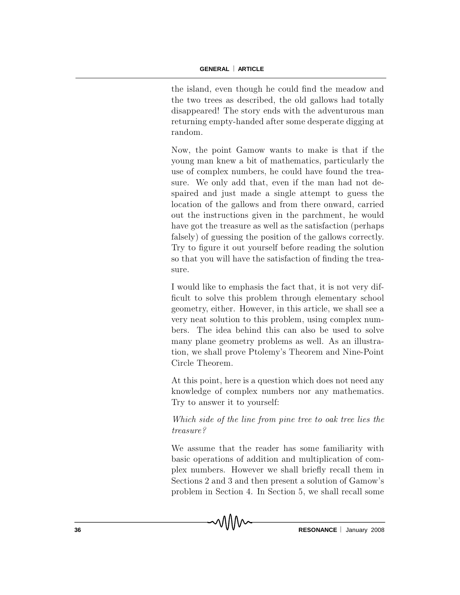the island, even though he could find the meadow and the two trees as described, the old gallows had totally disappeared! The story ends with the adventurous man returning empty-handed after some desperate digging at random.

Now, the point Gamow wants to make is that if the young man knew a bit of mathematics, particularly the use of complex numbers, he could have found the treasure. We only add that, even if the man had not despaired and just made a single attempt to guess the location of the gallows and from there onward, carried out the instructions given in the parchment, he would have got the treasure as well as the satisfaction (perhaps falsely) of guessing the position of the gallows correctly. Try to figure it out yourself before reading the solution so that you will have the satisfaction of finding the treasure.

I would like to emphasis the fact that, it is not very difficult to solve this problem through elementary school geometry, either. However, in this article, we shall see a very neat solution to this problem, using complex numbers. The idea behind this can also be used to solve many plane geometry problems as well. As an illustration, we shall prove Ptolemy's Theorem and Nine-Point Circle Theorem.

At this point, here is a question which does not need any knowledge of complex numbers nor any mathematics. Try to answer it to yourself:

Which side of the line from pine tree to oak tree lies the treasure?

We assume that the reader has some familiarity with basic operations of addition and multiplication of comp lex numbers. However we shall briefly recall them in Sections 2 and 3 and then present a solution of Gamow's problem in Section 4. In Section 5, we shall recall some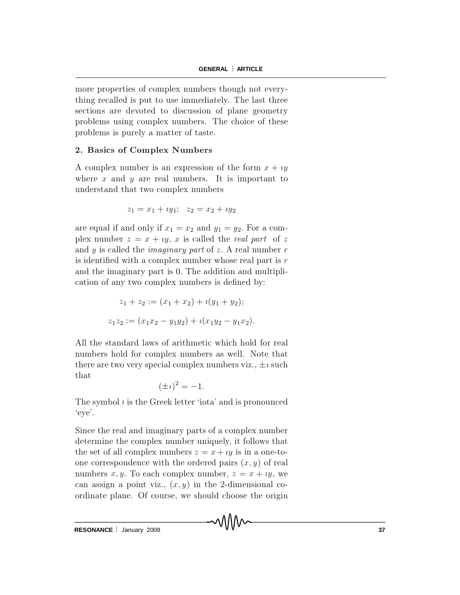more properties of complex numbers though not everything recalled is put to use immediately. The last three sections are devoted to discussion of plane geometry problems using complex numbers. The choice of these problems is purely a matter of taste.

## 2. Basics of Complex Numbers

A complex number is an expression of the form  $x + iy$ where x and y are real numbers. It is important to understand that two complex numbers

$$
z_1 = x_1 + iy_1; \quad z_2 = x_2 + iy_2
$$

are equal if and only if  $x_1 = x_2$  and  $y_1 = y_2$ . For a complex number  $z = x + iy$ , x is called the real part of z and y is called the *imaginary part* of z. A real number  $r$ is identified with a complex number whose real part is  $r$ and the imaginary part is 0. The addition and multiplication of any two complex numbers is defined by:

$$
z_1 + z_2 := (x_1 + x_2) + i(y_1 + y_2);
$$
  

$$
z_1 z_2 := (x_1 x_2 - y_1 y_2) + i(x_1 y_2 - y_1 x_2).
$$

All the standard laws of arithmetic which hold for real numbers hold for complex numbers as well. Note that there are two very special complex numbers viz.,  $\pm i$  such that

$$
(\pm i)^2 = -1.
$$

The symbol  $i$  is the Greek letter 'iota' and is pronounced  $'eve'.$ 

Since the real and imaginary parts of a complex number determine the complex number uniquely, it follows that the set of all complex numbers  $z = x + iy$  is in a one-toone correspondence with the ordered pairs  $(x, y)$  of real numbers x, y. To each complex number,  $z = x + iy$ , we can assign a point viz.,  $(x, y)$  in the 2-dimensional coordinate plane. Of course, we should choose the origin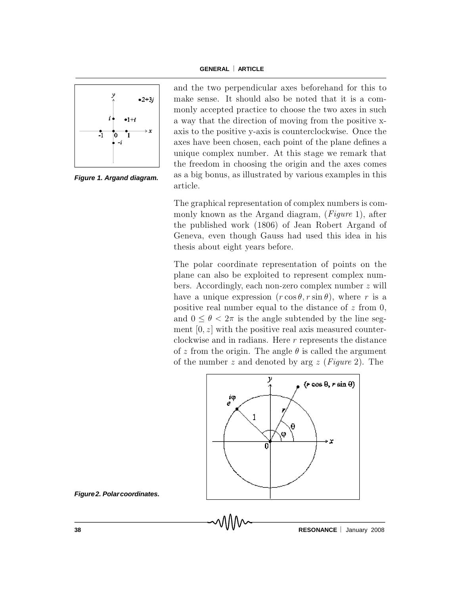

*Figure 1. Argand diagram.*

and the two perpendicular axes beforehand for this to make sense. It should also be noted that it is a comm only accepted practice to choose the two axes in such a way that the direction of moving from the positive xaxis to the positive y-axis is counterclockwise. Once the axes have been chosen, each point of the plane defines a unique complex number. At this stage we remark that the freedom in choosing the origin and the axes comes as a big bonus, as illustrated by various examples in this article.

The graphical representation of complex numbers is comm only known as the Arg and diagram,  $(Figure 1)$ , after the published work (1806) of Jean Robert Argand of Geneva, even though Gauss had used this idea in his the sis about eight years before.

The polar coordinate representation of points on the plane can also be exploited to represent complex numbers. Accordingly, each non-zero complex number  $z$  will have a unique expression  $(r \cos \theta, r \sin \theta)$ , where r is a positive real number equal to the distance of  $z$  from 0, and  $0 \le \theta < 2\pi$  is the angle subtended by the line segm ent  $[0, z]$  with the positive real axis measured counterclockwise and in radians. Here  $r$  represents the distance of z from the origin. The angle  $\theta$  is called the argument of the number z and denoted by arg z (Figure 2). The



*Figure2. Polarcoordinates.*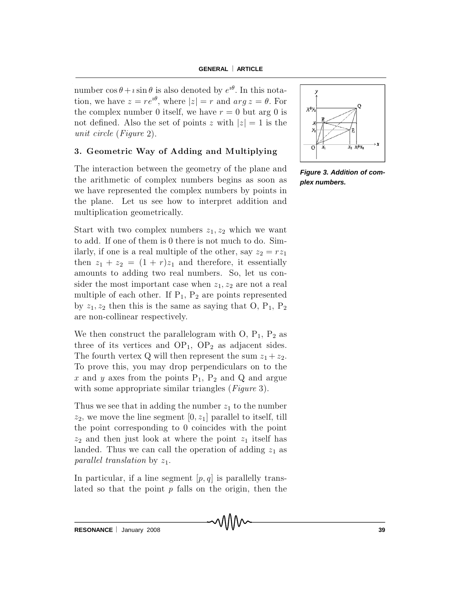number  $\cos \theta + i \sin \theta$  is also denoted by  $e^{i\theta}$ . In this notation, we have  $z = re^{i\theta}$ , where  $|z|= r$  and  $arg z = \theta$ . For the complex number 0 itself, we have  $r = 0$  but arg 0 is not defined. Also the set of points z with  $|z|=1$  is the unit circle (Figure 2).

# 3. Geometric Way of Adding and Multiplying

The interaction between the geometry of the plane and the arithmetic of complex numbers begins as soon as we have represented the complex numbers by points in the plane. Let us see how to interpret addition and multiplication geometrically.

Start with two complex numbers  $z_1, z_2$  which we want to add. If one of them is 0 there is not much to do. Similarly, if one is a real multiple of the other, say  $z_2 = r z_1$ then  $z_1 + z_2 = (1 + r)z_1$  and therefore, it essentially amounts to adding two real numbers. So, let us consider the most important case when  $z_1, z_2$  are not a real multiple of each other. If  $P_1$ ,  $P_2$  are points represented by  $z_1, z_2$  then this is the same as saying that O,  $P_1$ ,  $P_2$ are non-collinear respectively.

We then construct the parallelogram with  $O, P_1, P_2$  as three of its vertices and  $OP_1$ ,  $OP_2$  as adjacent sides. The fourth vertex Q will then represent the sum  $z_1 + z_2$ . To prove this, you may drop perpendiculars on to the x and y axes from the points  $P_1$ ,  $P_2$  and Q and argue with some appropriate similar triangles  $(Figure 3)$ .

Thus we see that in adding the number  $z_1$  to the number  $z_2$ , we move the line segment  $[0, z_1]$  parallel to itself, till the point corresponding to 0 coincides with the point  $z_2$  and then just look at where the point  $z_1$  itself has landed. Thus we can call the operation of adding  $z_1$  as parallel translation by  $z_1$ .

In particular, if a line segment  $[p, q]$  is parallelly translated so that the point  $p$  falls on the origin, then the



*Figure 3. Addition of complex numbers.*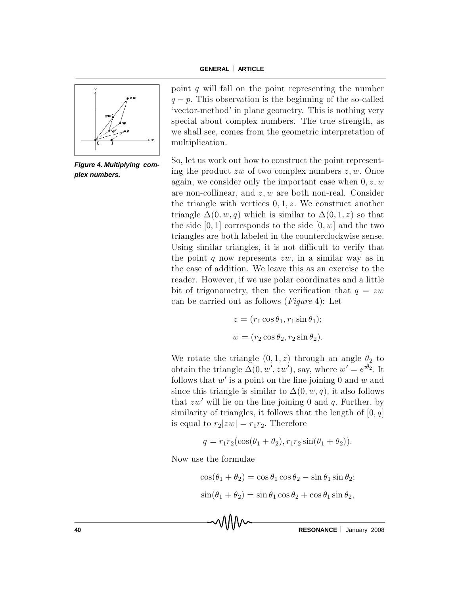

*Figure 4. Multiplying complex numbers.*

point q will fall on the point representing the number  $q - p$ . This observation is the beginning of the so-called 'vector-method' in plane geometry. This is nothing very special about complex numbers. The true strength, as we shall see, comes from the geometric interpretation of multiplication.

So, let us work out how to construct the point representing the product zw of two complex numbers  $z, w$ . Once again, we consider only the important case when  $0, z, w$ are non-collinear, and  $z, w$  are both non-real. Consider the triangle with vertices  $0, 1, z$ . We construct another triangle  $\Delta(0, w, q)$  which is similar to  $\Delta(0, 1, z)$  so that the side  $[0,1]$  corresponds to the side  $[0,w]$  and the two triangles are both labeled in the counterclockwise sense. Using similar triangles, it is not difficult to verify that the point q now represents  $zw$ , in a similar way as in the case of addition. We leave this as an exercise to the reader. However, if we use polar coordinates and a little but of trigonometry, then the verification that  $q = zw$ can be carried out as follows (*Figure* 4): Let

$$
z = (r_1 \cos \theta_1, r_1 \sin \theta_1);
$$
  

$$
w = (r_2 \cos \theta_2, r_2 \sin \theta_2).
$$

We rotate the triangle  $(0,1,z)$  through an angle  $\theta_2$  to obtain the triangle  $\Delta(0, w', zw')$ , say, where  $w' = e^{i\theta_2}$ . It follows that  $w'$  is a point on the line joining 0 and w and since this triangle is similar to  $\Delta(0, w, q)$ , it also follows that  $zw'$  will lie on the line joining 0 and q. Further, by similarity of triangles, it follows that the length of  $[0, q]$ is equal to  $r_2 |zw| = r_1 r_2$ . Therefore

$$
q = r_1 r_2 (\cos(\theta_1 + \theta_2), r_1 r_2 \sin(\theta_1 + \theta_2)).
$$

Now use the formulae

 $\cos(\theta_1 + \theta_2) = \cos \theta_1 \cos \theta_2 - \sin \theta_1 \sin \theta_2;$  $\sin(\theta_1 + \theta_2) = \sin \theta_1 \cos \theta_2 + \cos \theta_1 \sin \theta_2$ 

**40 CONSERVANCE RESONANCE January 2008**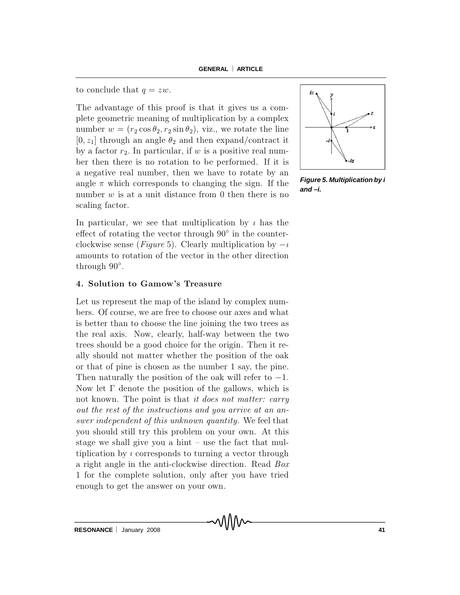to conclude that  $q = zw$ .

The advantage of this proof is that it gives us a comp lete geometric meaning of multiplication by a complex number  $w = (r_2 \cos \theta_2, r_2 \sin \theta_2)$ , viz., we rotate the line  $[0, z_1]$  through an angle  $\theta_2$  and then expand/contract it by a factor  $r_2$ . In particular, if w is a positive real number then there is no rotation to be performed. If it is a negative real number, then we have to rotate by an angle  $\pi$  which corresponds to changing the sign. If the number  $w$  is at a unit distance from 0 then there is no scaling factor.

In particular, we see that multiplication by  $\imath$  has the effect of rotating the vector through  $90^{\circ}$  in the counterclockwise sense (Figure 5). Clearly multiplication by  $-i$ amounts to rotation of the vector in the other direction through  $90^\circ$ .

## 4. Solution to Gamow's Treasure

Let us represent the map of the island by complex numbers. Of course, we are free to choose our axes and what is better than to choose the line joining the two trees as the real axis. Now, clearly, half-way between the two trees should be a good choice for the origin. Then it really should not matter whether the position of the oak or that of pine is chosen as the number  $1$  say, the pine. Then naturally the position of the oak will refer to  $-1$ . Now let  $\Gamma$  denote the position of the gallows, which is not known. The point is that it does not matter: carry out the rest of the instructions and you arrive at an answer independent of this unknown quantity. We feel that you should still try this problem on your own. At this stage we shall give you a hint  $-\text{ use the fact that }$  multip lication by  $\imath$  corresponds to turning a vector through a right angle in the anti-clockwise direction. Read Box 1 for the complete solution, only after you have tried e nough to get the answer on your own.

MIN



*Figure 5. Multiplication by i and –i.*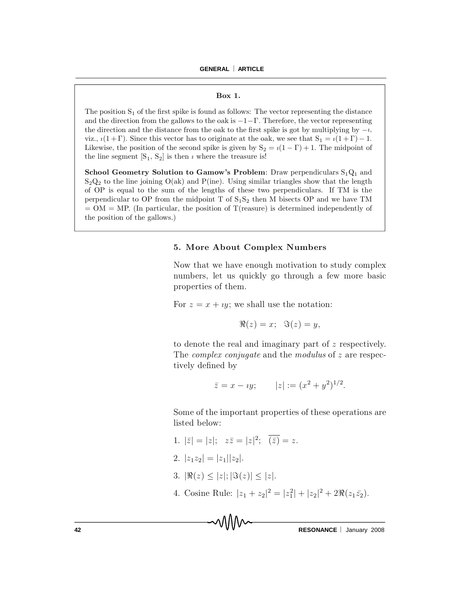#### Box 1.

The position  $S_1$  of the first spike is found as follows: The vector representing the distance and the direction from the gallows to the oak is  $-1-\Gamma$ . Therefore, the vector representing the direction and the distance from the oak to the first spike is got by multiplying by  $-i$ , viz.,  $i(1+\Gamma)$ . Since this vector has to originate at the oak, we see that  $S_1 = i(1+\Gamma) - 1$ . Likewise, the position of the second spike is given by  $S_2 = i(1 - \Gamma) + 1$ . The midpoint of the line segment  $[S_1, S_2]$  is then  $\imath$  where the treasure is!

School Geometry Solution to Gamow's Problem: Draw perpendiculars  $S_1 Q_1$  and  $S_2Q_2$  to the line joining  $O(ak)$  and  $P(ine)$ . Using similar triangles show that the length of OP is equal to the sum of the lengths of these two p erpendiculars. If TM is the perpendicular to OP from the midpoint T of  $S_1S_2$  then M bisects OP and we have TM  $= OM = MP$ . (In particular, the position of T(reasure) is determined independently of the position of the gallows.)

## 5. More About Complex Numbers

Now that we have enough motivation to study complex numbers, let us quickly go through a few more basic properties of them.

For  $z = x + iy$ ; we shall use the notation:

$$
\Re(z) = x; \quad \Im(z) = y,
$$

to denote the real and imaginary part of  $z$  respectively. The *complex conjugate* and the *modulus* of  $z$  are respectively defined by

$$
\bar{z} = x - iy;
$$
  $|z| := (x^2 + y^2)^{1/2}.$ 

Some of the important properties of these operations are listed below:

- 1.  $|\bar{z}| = |z|; \quad z\bar{z} = |z|^2; \quad \overline{(\bar{z})} = z.$
- 2.  $|z_1 z_2| = |z_1| |z_2|$ .
- 3.  $|\Re(z)| \leq |z|$ ;  $|\Im(z)| \leq |z|$ .
- 4. Cosine Rule:  $|z_1 + z_2|^2 = |z_1^2| + |z_2|^2 + 2\Re(z_1 \bar{z_2}).$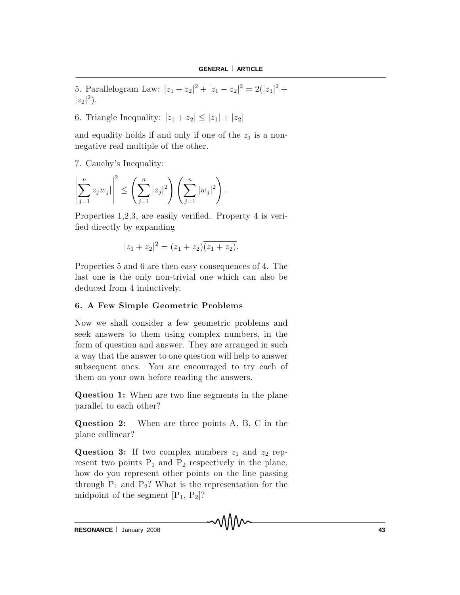5. Parallelogram Law:  $|z_1 + z_2|^2 + |z_1 - z_2|^2 = 2(|z_1|^2 + |z_2|^2)$  $|z_2|^2$ .

6. Triangle Inequality:  $|z_1 + z_2| \leq |z_1| + |z_2|$ 

and equality holds if and only if one of the  $z_j$  is a nonn egative real multiple of the other.

7. Cauchy's Inequality:

$$
\left| \sum_{j=1}^{n} z_j w_j \right|^2 \le \left( \sum_{j=1}^{n} |z_j|^2 \right) \left( \sum_{j=1}^{n} |w_j|^2 \right).
$$

Properties 1.2.3, are easily verified. Property 4 is verified directly by expanding

$$
|z_1 + z_2|^2 = (z_1 + z_2)\overline{(z_1 + z_2)}.
$$

Properties 5 and 6 are then easy consequences of 4. The last one is the only non-trivial one which can also be deduced from 4 inductively.

## 6. A Few Simple Geometric Problems

Now we shall consider a few geometric problems and seek answers to them using complex numbers, in the form of question and answer. They are arranged in such a way that the answer to one question will help to answer subsequent ones. You are encouraged to try each of them on your own before reading the answers.

Question 1: When are two line segments in the plane parallel to each other?

**Question 2:** When are three points A, B, C in the plane collinear?

**Question 3:** If two complex numbers  $z_1$  and  $z_2$  represent two points  $P_1$  and  $P_2$  respectively in the plane, how do you represent other points on the line passing through  $P_1$  and  $P_2$ ? What is the representation for the midpoint of the segment  $[P_1, P_2]$ ?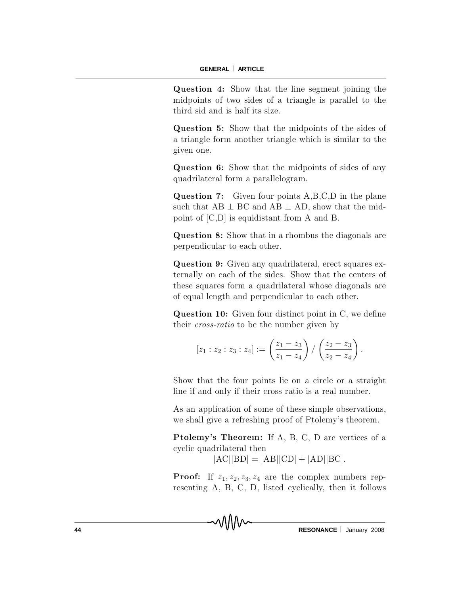Question 4: Show that the line segment joining the midpoints of two sides of a triangle is parallel to the third sid and is half its size.

Question 5: Show that the midpoints of the sides of a triangle form a nother triangle which is similar to the given one.

Question 6: Show that the midpoints of sides of any quad rilateral form a parallelogram.

**Question 7:** Given four points  $A, B, C, D$  in the plane such that  $AB \perp BC$  and  $AB \perp AD$ , show that the midpoint of  $[C,D]$  is equidistant from A and B.

Question 8: Show that in a rhombus the diagonals are perpendicular to each other.

Question 9: Given any quadrilateral, erect squares externally on each of the sides. Show that the centers of these squares form a quadrilateral whose diagonals are of equal length and perpendicular to each other.

**Question 10:** Given four distinct point in  $C$ , we define their *cross-ratio* to be the number given by

$$
[z_1:z_2:z_3:z_4]:=\left(\frac{z_1-z_3}{z_1-z_4}\right)/\left(\frac{z_2-z_3}{z_2-z_4}\right).
$$

Show that the four points lie on a circle or a straight line if and only if their cross ratio is a real number.

As an application of some of these simple observations, we shall give a refreshing proof of Ptolemy's theorem.

P tolemy's Theorem: If A, B, C, D are vertices of a cyclic quadrilateral then

 $|AC||BD| = |AB||CD| + |AD||BC|$ .

**Proof:** If  $z_1, z_2, z_3, z_4$  are the complex numbers representing  $A$ ,  $B$ ,  $C$ ,  $D$ , listed cyclically, then it follows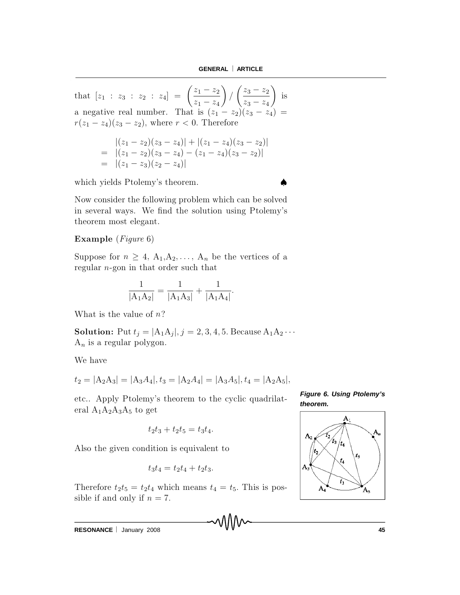that  $[z_1 : z_3 : z_2 : z_4] = \left(\frac{z_1 - z_2}{z_1 - z_2}\right)$  $z_1 - z_4$  $\setminus$ /  $\int \frac{z_3 - z_2}{z_3 - z_2}$  $z_3 - z_4$  $\setminus$ is a negative real number. That is  $(z_1 - z_2)(z_3 - z_4) =$  $r(z_1 - z_4)(z_3 - z_2)$ , where  $r < 0$ . Therefore

$$
\begin{aligned} \n\left| (z_1 - z_2)(z_3 - z_4) \right| + \left| (z_1 - z_4)(z_3 - z_2) \right| \\ \n&= \left| (z_1 - z_2)(z_3 - z_4) - (z_1 - z_4)(z_3 - z_2) \right| \\ \n&= \left| (z_1 - z_3)(z_2 - z_4) \right| \n\end{aligned}
$$

which yields Ptolemy's theorem.

Now consider the following problem which can be solved in several ways. We find the solution using Ptolemy's theorem most elegant.

### Example  $(Figure 6)$

Suppose for  $n \geq 4$ ,  $A_1, A_2, \ldots, A_n$  be the vertices of a regular  $n$ -gon in that order such that

$$
\frac{1}{|A_1A_2|} = \frac{1}{|A_1A_3|} + \frac{1}{|A_1A_4|}.
$$

What is the value of  $n$ ?

**Solution:** Put  $t_j = |A_1 A_j|, j = 2, 3, 4, 5$ . Because  $A_1 A_2 \cdots$  $A_n$  is a regular polygon.

We have

$$
t_2 = |A_2A_3| = |A_3A_4|, t_3 = |A_2A_4| = |A_3A_5|, t_4 = |A_2A_5|,
$$

etc.. Apply Ptolemy's theorem to the cyclic quadrilateral  $A_1A_2A_3A_5$  to get

$$
t_2t_3 + t_2t_5 = t_3t_4.
$$

Also the given condition is equivalent to

$$
t_3t_4 = t_2t_4 + t_2t_3.
$$

Therefore  $t_2 t_5 = t_2 t_4$  which means  $t_4 = t_5$ . This is possible if and only if  $n = 7$ .

*Figure 6. Using Ptolemy's theorem.*



**RESONANCE** | January 2008 **45**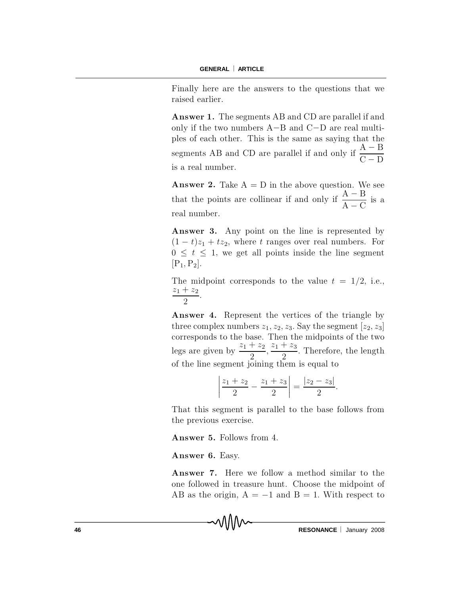Finally here are the answers to the questions that we raised earlier.

**Answer 1.** The segments AB and CD are parallel if and only if the two numbers  $A - B$  and  $C - D$  are real multiples of each other. This is the same as saying that the segments AB and CD are parallel if and only if  $\frac{A - B}{B - B}$  $C - I$ is a real number.

**Answer 2.** Take  $A = D$  in the above question. We see that the points are collinear if and only if  $\frac{A - B}{A}$  $A - C$ is a real number.

Answer 3. Any point on the line is represented by  $(1 - t)z_1 + tz_2$ , where t ranges over real numbers. For  $0 \leq t \leq 1$ , we get all points inside the line segment  $[P_1, P_2]$ .

The midpoint corresponds to the value  $t = 1/2$ , i.e.,  $z_1 + z_2$ 2 :

Answer 4. Represent the vertices of the triangle by three complex numbers  $z_1, z_2, z_3$ . Say the segment  $[z_2, z_3]$ corresponds to the base. Then the midpoints of the two legs are given by  $\frac{z_1+z_2}{2}$ 2  $\frac{z_1+z_3}{2}$ 2 . Therefore, the length of the line segment joining them is equal to

$$
\left|\frac{z_1+z_2}{2}-\frac{z_1+z_3}{2}\right|=\frac{|z_2-z_3|}{2}.
$$

That this segment is parallel to the base follows from the previous exercise.

Answer 5. Follows from 4.

#### Answer 6. Easy.

Answer 7. Here we follow a method similar to the one followed in treasure hunt. Choose the midpoint of AB as the origin,  $A = -1$  and  $B = 1$ . With respect to

**46 RESONANCE** January 2008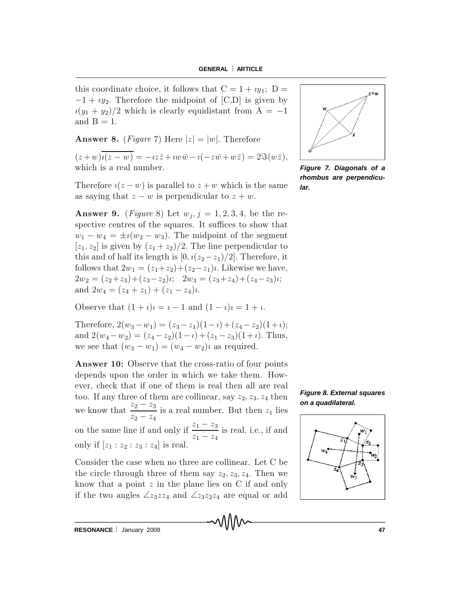this coordinate choice, it follows that  $C = 1 + iy_1$ ;  $D =$  $-1 + iy_2$ . Therefore the midpoint of [C,D] is given by  $i(y_1 + y_2)/2$  which is clearly equidistant from  $A = -1$ and  $B = 1$ .

**Answer 8.** (Figure 7) Here  $|z| = |w|$ . Therefore

 $(z+w)\overline{i(z-w)} = -iz\overline{z} + iw\overline{w} - i(-z\overline{w} + w\overline{z}) = 2\Im(w\overline{z}),$ which is a real number.

Therefore  $i(z-w)$  is parallel to  $z+w$  which is the same as saying that  $z - w$  is perpendicular to  $z + w$ .

**Answer 9.** (*Figure 8*) Let  $w_j$ ,  $j = 1, 2, 3, 4$ , be the respective centres of the squares. It suffices to show that  $w_1 - w_4 = \pm i(w_2 - w_3)$ . The midpoint of the segment  $[z_1, z_2]$  is given by  $(z_1 + z_2)/2$ . The line perpendicular to this and of half its length is  $[0, i(z_2-z_1)/2]$ . Therefore, it follows that  $2w_1 = (z_1+z_2)+(z_2-z_1)i$ . Likewise we have,  $2w_2 = (z_2 + z_3) + (z_3 - z_2)i$ ;  $2w_3 = (z_3 + z_4) + (z_4 - z_3)i$ ; and  $2w_4 = (z_4 + z_1) + (z_1 - z_4)i$ .

Observe that  $(1 + i)i = i - 1$  and  $(1 - i)i = 1 + i$ .

Therefore,  $2(w_3 - w_1) = (z_3 - z_1)(1 - i) + (z_4 - z_2)(1 + i);$ and  $2(w_4-w_2) = (z_4-z_2)(1-i) + (z_1-z_3)(1+i)$ . Thus, we see that  $(w_3 - w_1) = (w_4 - w_2)i$  as required.

**Answer 10:** Observe that the cross-ratio of four points depends upon the order in which we take them. However, check that if one of them is real then all are real too. If any three of them are collinear, say  $z_2, z_3, z_4$  then we know that  $\frac{z_2 - z_3}{z_2 - z_4}$  is a real number. But then  $z_1$  lies on the same line if and only if  $\frac{z_1 - z_3}{z_1 - z_4}$  is real, i.e., if and only if  $[z_1 : z_2 : z_3 : z_4]$  is real.

Consider the case when no three are collinear. Let C be the circle through three of them say  $z_2, z_3, z_4$ . Then we know that a point  $z$  in the plane lies on C if and only if the two angles  $\angle z_3 z z_4$  and  $\angle z_3 z_2 z_4$  are equal or add

MMM



Figure 7. Diagonals of a rhombus are perpendicular.



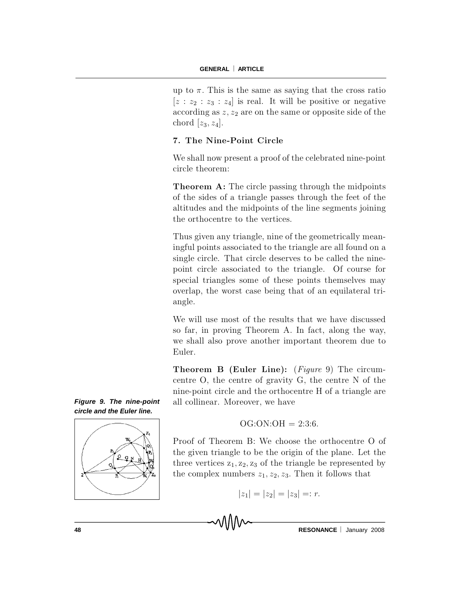up to  $\pi$ . This is the same as saying that the cross ratio  $[z : z_2 : z_3 : z_4]$  is real. It will be positive or negative according as  $z, z_2$  are on the same or opposite side of the chord  $[z_3, z_4]$ .

## 7. The Nine-Point Circle

We shall now present a proof of the celebrated nine-point circle theorem:

**Theorem A:** The circle passing through the midpoints of the sides of a triangle passes through the feet of the altitudes and the midpoints of the line segments joining the orthocentre to the vertices.

Thus given any triangle, nine of the geometrically meaning ful points associated to the triangle are all found on a single circle. That circle deserves to be called the ninepoint circle associated to the triangle. Of course for special triangles some of these points themselves may overlap, the worst case being that of an equilateral triangle.

We will use most of the results that we have discussed so far, in proving Theorem A. In fact, along the way, we shall also prove another important theorem due to Euler.

**Theorem B (Euler Line):** (Figure 9) The circumcentre  $O$ , the centre of gravity  $G$ , the centre  $N$  of the nine-point circle and the orthocentre H of a triangle are all collinear. Moreover, we have





 $OG:ON:OH = 2:3:6.$ 

Proof of Theorem B: We choose the orthocentre O of the given triangle to be the origin of the plane. Let the three vertices  $z_1, z_2, z_3$  of the triangle be represented by the complex numbers  $z_1, z_2, z_3$ . Then it follows that

$$
|z_1| = |z_2| = |z_3| =: r.
$$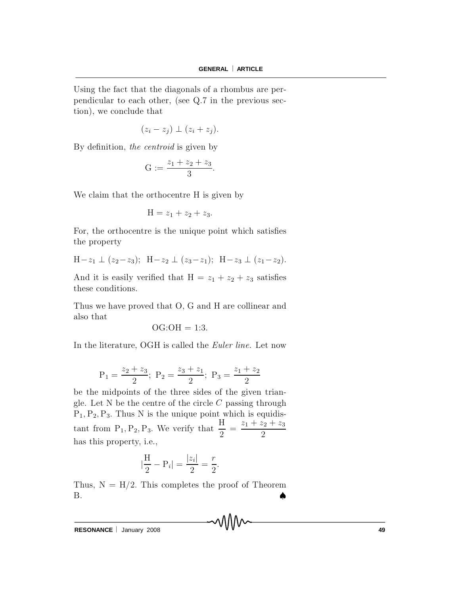Using the fact that the diagonals of a rhombus are perp endicular to each other, (see  $Q.7$  in the previous section), we conclude that

$$
(z_i-z_j)\perp (z_i+z_j).
$$

By definition, the centroid is given by

$$
G := \frac{z_1 + z_2 + z_3}{3}.
$$

We claim that the orthocentre H is given by

$$
H = z_1 + z_2 + z_3.
$$

For, the orthocentre is the unique point which satisfies the property

$$
H-z_1 \perp (z_2-z_3); H-z_2 \perp (z_3-z_1); H-z_3 \perp (z_1-z_2).
$$

And it is easily verified that  $H = z_1 + z_2 + z_3$  satisfies these conditions.

Thus we have proved that O, G and H are collinear and also that

$$
OG:OH = 1:3.
$$

In the literature, OGH is called the *Euler line*. Let now

$$
P_1 = \frac{z_2 + z_3}{2}
$$
;  $P_2 = \frac{z_3 + z_1}{2}$ ;  $P_3 = \frac{z_1 + z_2}{2}$ 

be the midpoints of the three sides of the given triangle. Let N be the centre of the circle  $C$  passing through  $P_1, P_2, P_3$ . Thus N is the unique point which is equidistant from  $P_1, P_2, P_3$ . We verify that  $\frac{F_1}{2}$  $=\frac{z_1+z_2+z_3}{2}$ 2 has this property, i.e.,

$$
|\frac{H}{2} - P_i| = \frac{|z_i|}{2} = \frac{r}{2}.
$$

Thus,  $N = H/2$ . This completes the proof of Theorem  $\mathbf{B}$  .

**RESONANCE** | January 2008 **49**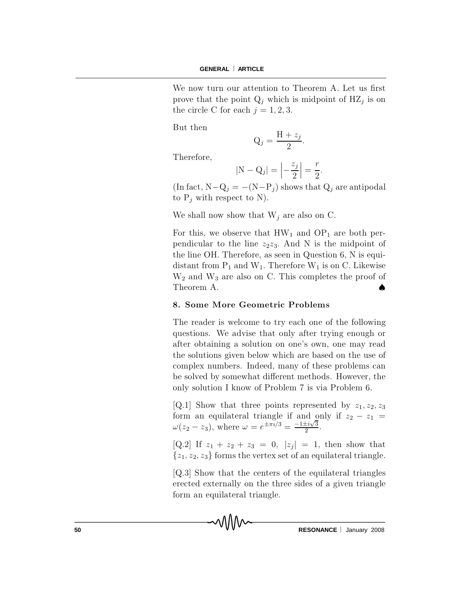We now turn our attention to Theorem A. Let us first prove that the point  $Q_i$  which is midpoint of HZ<sub>j</sub> is on the circle C for each  $j = 1, 2, 3$ .

But then

$$
Q_j = \frac{H + z_j}{2}.
$$

Therefore,

$$
|\mathbf{N} - \mathbf{Q}_j| = \left| -\frac{z_j}{2} \right| = \frac{r}{2}.
$$

(In fact,  $N-Q_j = -(N-P_j)$  shows that  $Q_j$  are antipodal to  $P_j$  with respect to N).

We shall now show that  $W_i$  are also on C.

For this, we observe that  $HW_1$  and  $OP_1$  are both perpendicular to the line  $z_2 z_3$ . And N is the midpoint of the line OH. Therefore, as seen in Question  $6$ , N is equidistant from  $P_1$  and  $W_1$ . Therefore  $W_1$  is on C. Likewise  $W<sub>2</sub>$  and  $W<sub>3</sub>$  are also on C. This completes the proof of Theorem A.

### 8. Some More Geometric Problems

The reader is welcome to try each one of the following questions. We advise that only after trying enough or after obtaining a solution on one's own, one may read the solutions given below which are based on the use of complex numbers. Indeed, many of these problems can be solved by somewhat different methods. However, the only solution I know of Problem 7 is via Problem 6.

[Q.1] Show that three points represented by  $z_1, z_2, z_3$ form an equilateral triangle if and only if  $z_2 - z_1 =$  $\omega(z_2 - z_3)$ , where  $\omega = e^{\pm \pi i/3} = \frac{-1 \pm i \sqrt{3}}{2}$  $\frac{\pm i\sqrt{3}}{2}$ .

[Q.2] If  $z_1 + z_2 + z_3 = 0$ ,  $|z_j| = 1$ , then show that  $\{z_1, z_2, z_3\}$  forms the vertex set of an equilateral triangle.

 $[Q.3]$  Show that the centers of the equilateral triangles e rected externally on the three sides of a given triangle form an equilateral triangle.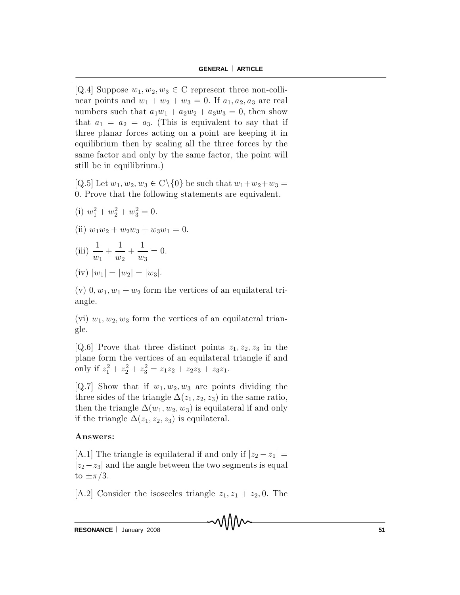[Q.4] Suppose  $w_1, w_2, w_3 \in \mathbb{C}$  represent three non-collinear points and  $w_1 + w_2 + w_3 = 0$ . If  $a_1, a_2, a_3$  are real numbers such that  $a_1w_1 + a_2w_2 + a_3w_3 = 0$ , then show that  $a_1 = a_2 = a_3$ . (This is equivalent to say that if three planar forces acting on a point are keeping it in equilibrium then by scaling all the three forces by the same factor and only by the same factor, the point will still be in equilibrium.)

 $[Q.5]$  Let  $w_1, w_2, w_3 \in C \setminus \{0\}$  be such that  $w_1 + w_2 + w_3 =$ 0. Prove that the following statements are equivalent.

(i) 
$$
w_1^2 + w_2^2 + w_3^2 = 0
$$
.

(ii) 
$$
w_1w_2 + w_2w_3 + w_3w_1 = 0.
$$

(iii) 
$$
\frac{1}{w_1} + \frac{1}{w_2} + \frac{1}{w_3} = 0.
$$

(iv) 
$$
|w_1| = |w_2| = |w_3|
$$
.

(v)  $0, w_1, w_1 + w_2$  form the vertices of an equilateral triangle.

(vi)  $w_1, w_2, w_3$  form the vertices of an equilateral triangle.

[Q.6] Prove that three distinct points  $z_1, z_2, z_3$  in the plane form the vertices of an equilateral triangle if and only if  $z_1^2 + z_2^2 + z_3^2 = z_1 z_2 + z_2 z_3 + z_3 z_1$ .

[Q.7] Show that if  $w_1, w_2, w_3$  are points dividing the three sides of the triangle  $\Delta(z_1, z_2, z_3)$  in the same ratio, then the triangle  $\Delta(w_1, w_2, w_3)$  is equilateral if and only if the triangle  $\Delta(z_1, z_2, z_3)$  is equilateral.

## Answers:

[A.1] The triangle is equilateral if and only if  $|z_2 - z_1|$  =  $|z_2 - z_3|$  and the angle between the two segments is equal to  $\pm \pi/3$ .

[A.2] Consider the isosceles triangle  $z_1, z_1 + z_2, 0$ . The

mMm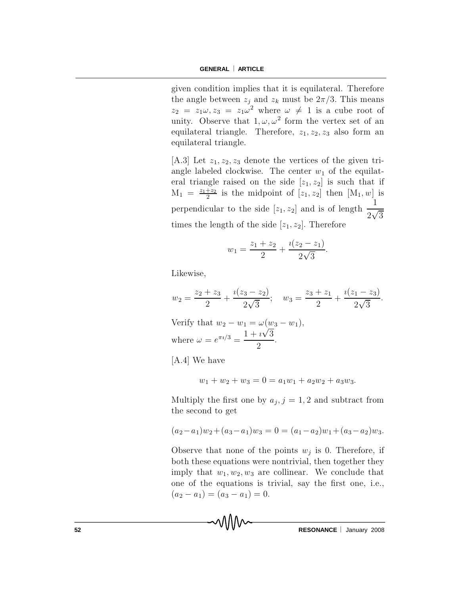given condition implies that it is equilateral. Therefore the angle between  $z_j$  and  $z_k$  must be  $2\pi/3$ . This means  $z_2 = z_1 \omega, z_3 = z_1 \omega^2$  where  $\omega \neq 1$  is a cube root of unity. Observe that  $1, \omega, \omega^2$  form the vertex set of an equilateral triangle. Therefore,  $z_1, z_2, z_3$  also form an equilateral triangle.

[A.3] Let  $z_1, z_2, z_3$  denote the vertices of the given triangle labeled clockwise. The center  $w_1$  of the equilateral triangle raised on the side  $[z_1, z_2]$  is such that if  $M_1 = \frac{z_1+z_2}{2}$  is the midpoint of  $[z_1, z_2]$  then  $[M_1, w]$  is perpendicular to the side [ $z_1, z_2$ ] and is of length  $\frac{1}{2\sqrt{3}}$ times the length of the side  $[z_1, z_2]$ . Therefore

$$
w_1 = \frac{z_1 + z_2}{2} + \frac{i(z_2 - z_1)}{2\sqrt{3}}.
$$

Likewise,

$$
w_2 = \frac{z_2 + z_3}{2} + \frac{i(z_3 - z_2)}{2\sqrt{3}}; \quad w_3 = \frac{z_3 + z_1}{2} + \frac{i(z_1 - z_3)}{2\sqrt{3}}
$$

Verify that  $w_2 - w_1 = \omega(w_3 - w_1)$ , where  $\omega = e^{\pi i/3} = \frac{1 + i\sqrt{3}}{2}$ .

MMM

 $[A.4]$  We have

$$
w_1 + w_2 + w_3 = 0 = a_1 w_1 + a_2 w_2 + a_3 w_3
$$

Multiply the first one by  $a_j$ ,  $j = 1, 2$  and subtract from the second to get

$$
(a_2 - a_1)w_2 + (a_3 - a_1)w_3 = 0 = (a_1 - a_2)w_1 + (a_3 - a_2)w_3.
$$

Observe that none of the points  $w_i$  is 0. Therefore, if both these equations were nontrivial, then together they imply that  $w_1, w_2, w_3$  are collinear. We conclude that one of the equations is trivial, say the first one, i.e.,  $(a_2 - a_1) = (a_3 - a_1) = 0.$